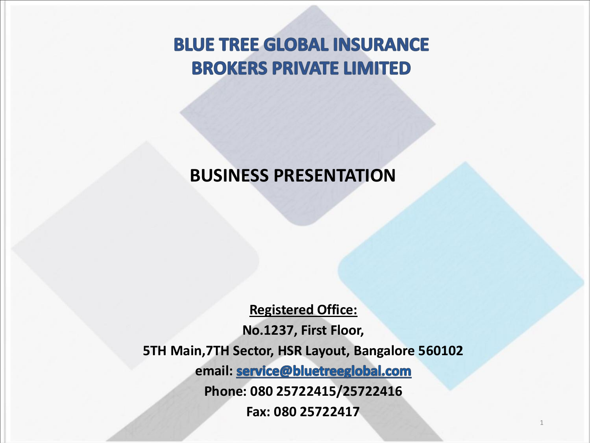**BLUE TREE GLOBAL INSURANCE BROKERS PRIVATE LIMITED** 

#### **BUSINESS PRESENTATION**

**Registered Office: No.1237, First Floor, 5TH Main,7TH Sector, HSR Layout, Bangalore 560102** email: **service@bluetreeglobal.com Phone: 080 25722415/25722416 Fax: 080 25722417**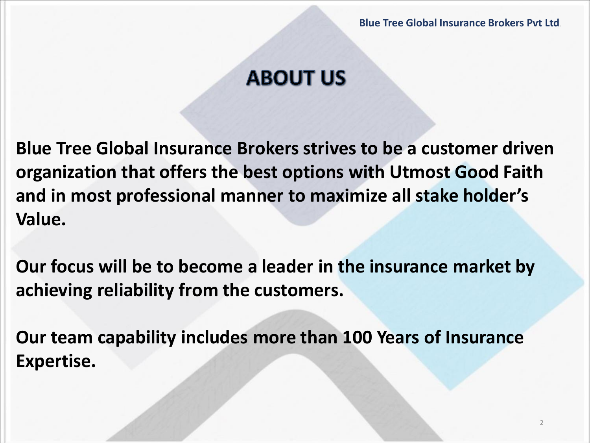## **ABOUT US**

**Blue Tree Global Insurance Brokers strives to be a customer driven organization that offers the best options with Utmost Good Faith and in most professional manner to maximize all stake holder's Value.** 

**Our focus will be to become a leader in the insurance market by achieving reliability from the customers.**

**Our team capability includes more than 100 Years of Insurance Expertise.**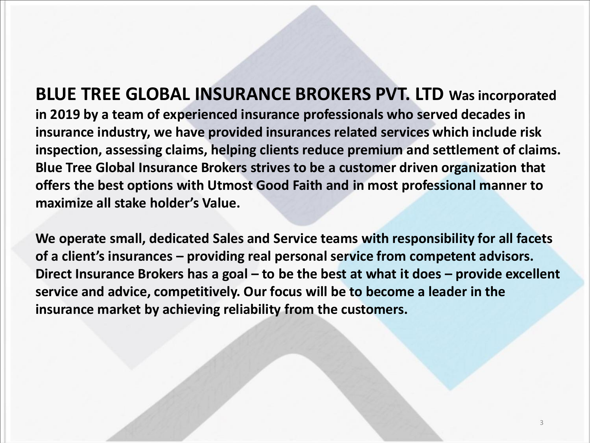#### **BLUE TREE GLOBAL INSURANCE BROKERS PVT. LTD Was incorporated in 2019 by a team of experienced insurance professionals who served decades in insurance industry, we have provided insurances related services which include risk inspection, assessing claims, helping clients reduce premium and settlement of claims. Blue Tree Global Insurance Brokers strives to be a customer driven organization that offers the best options with Utmost Good Faith and in most professional manner to maximize all stake holder's Value.**

**We operate small, dedicated Sales and Service teams with responsibility for all facets of a client's insurances – providing real personal service from competent advisors. Direct Insurance Brokers has a goal – to be the best at what it does – provide excellent service and advice, competitively. Our focus will be to become a leader in the insurance market by achieving reliability from the customers.**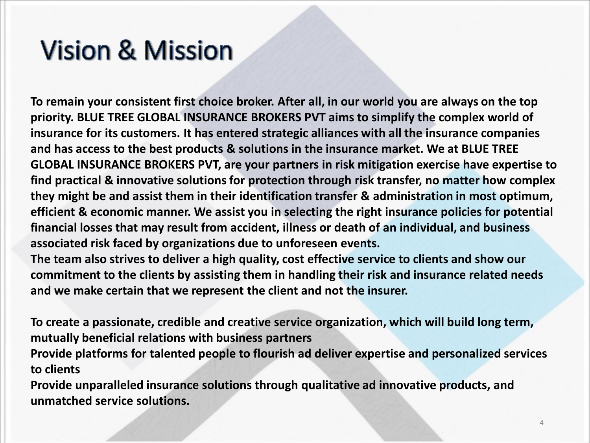## **Vision & Mission**

**To remain your consistent first choice broker. After all, in our world you are always on the top priority. BLUE TREE GLOBAL INSURANCE BROKERS PVT aims to simplify the complex world of insurance for its customers. It has entered strategic alliances with all the insurance companies and has access to the best products & solutions in the insurance market. We at BLUE TREE GLOBAL INSURANCE BROKERS PVT, are your partners in risk mitigation exercise have expertise to find practical & innovative solutions for protection through risk transfer, no matter how complex they might be and assist them in their identification transfer & administration in most optimum, efficient & economic manner. We assist you in selecting the right insurance policies for potential financial losses that may result from accident, illness or death of an individual, and business associated risk faced by organizations due to unforeseen events.**

**The team also strives to deliver a high quality, cost effective service to clients and show our commitment to the clients by assisting them in handling their risk and insurance related needs and we make certain that we represent the client and not the insurer.**

**To create a passionate, credible and creative service organization, which will build long term, mutually beneficial relations with business partners**

**Provide platforms for talented people to flourish ad deliver expertise and personalized services to clients**

**Provide unparalleled insurance solutions through qualitative ad innovative products, and unmatched service solutions.**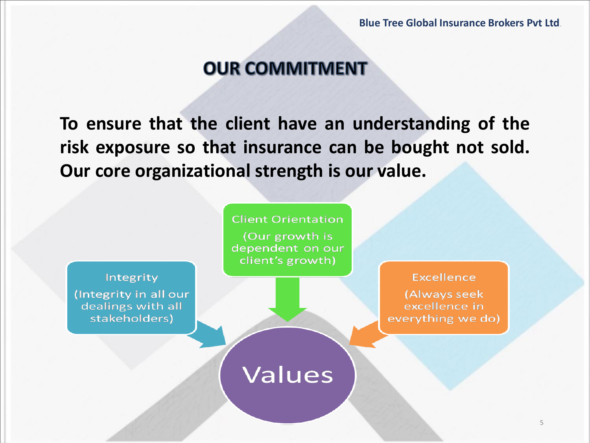#### **OUR COMMITMENT**

**To ensure that the client have an understanding of the risk exposure so that insurance can be bought not sold. Our core organizational strength is our value.**

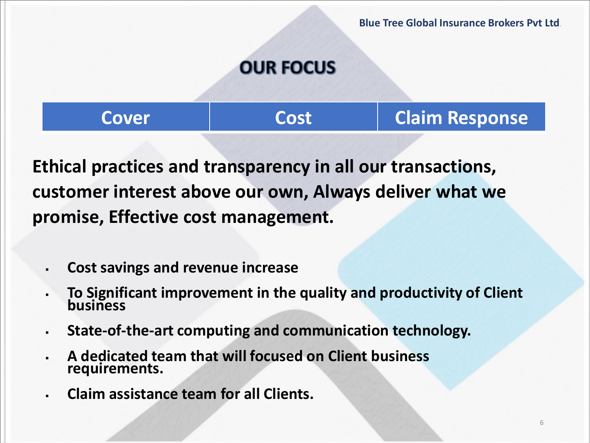## **OUR FOCUS**

**Cover Cost Cost Claim Response** 

**Ethical practices and transparency in all our transactions, customer interest above our own, Always deliver what we promise, Effective cost management.**

- **Cost savings and revenue increase**
- **To Significant improvement in the quality and productivity of Client business**
- **State-of-the-art computing and communication technology.**
- **A dedicated team that will focused on Client business requirements.**
- **Claim assistance team for all Clients.**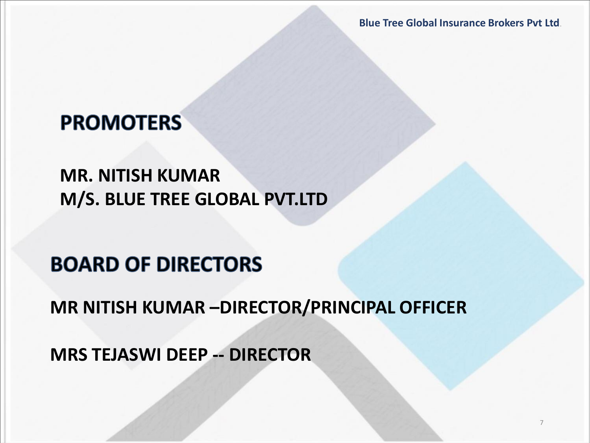**Blue Tree Global Insurance Brokers Pvt Ltd**.

## **PROMOTERS**

#### **MR. NITISH KUMAR M/S. BLUE TREE GLOBAL PVT.LTD**

## **BOARD OF DIRECTORS**

**MR NITISH KUMAR –DIRECTOR/PRINCIPAL OFFICER**

**MRS TEJASWI DEEP -- DIRECTOR**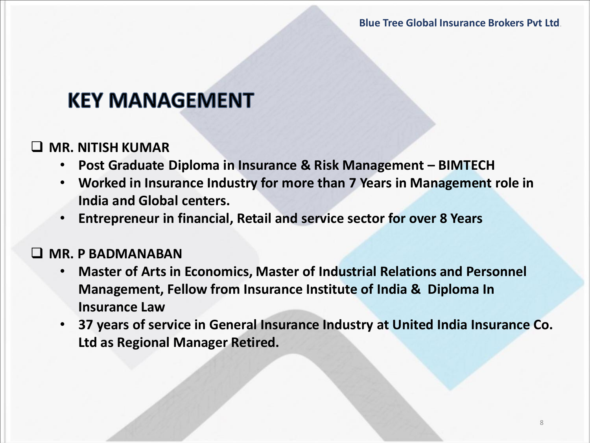## **KEY MANAGEMENT**

#### ❑ **MR. NITISH KUMAR**

- **Post Graduate Diploma in Insurance & Risk Management – BIMTECH**
- **Worked in Insurance Industry for more than 7 Years in Management role in India and Global centers.**
- **Entrepreneur in financial, Retail and service sector for over 8 Years**

#### ❑ **MR. P BADMANABAN**

- **Master of Arts in Economics, Master of Industrial Relations and Personnel Management, Fellow from Insurance Institute of India & Diploma In Insurance Law**
- **37 years of service in General Insurance Industry at United India Insurance Co. Ltd as Regional Manager Retired.**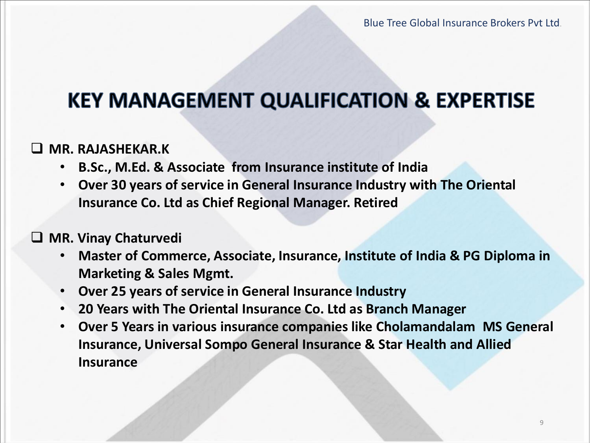## **KEY MANAGEMENT QUALIFICATION & EXPERTISE**

#### ❑ **MR. RAJASHEKAR.K**

- **B.Sc., M.Ed. & Associate from Insurance institute of India**
- **Over 30 years of service in General Insurance Industry with The Oriental Insurance Co. Ltd as Chief Regional Manager. Retired**

#### ❑ **MR. Vinay Chaturvedi**

- **Master of Commerce, Associate, Insurance, Institute of India & PG Diploma in Marketing & Sales Mgmt.**
- **Over 25 years of service in General Insurance Industry**
- **20 Years with The Oriental Insurance Co. Ltd as Branch Manager**
- **Over 5 Years in various insurance companies like Cholamandalam MS General Insurance, Universal Sompo General Insurance & Star Health and Allied Insurance**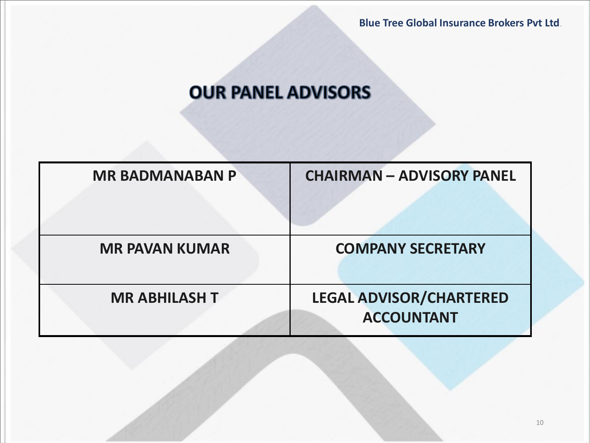## **OUR PANEL ADVISORS**

| <b>MR BADMANABAN P</b> | <b>CHAIRMAN - ADVISORY PANEL</b>                    |
|------------------------|-----------------------------------------------------|
| <b>MR PAVAN KUMAR</b>  | <b>COMPANY SECRETARY</b>                            |
| <b>MR ABHILASH T</b>   | <b>LEGAL ADVISOR/CHARTERED</b><br><b>ACCOUNTANT</b> |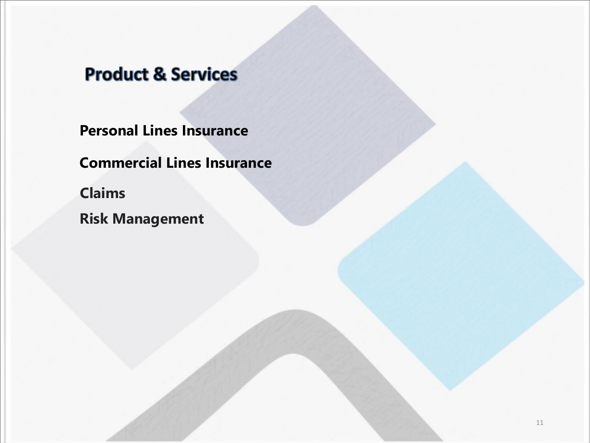#### **Product & Services**

**Personal Lines Insurance**

**Commercial Lines Insurance**

**Claims**

**Risk Management**